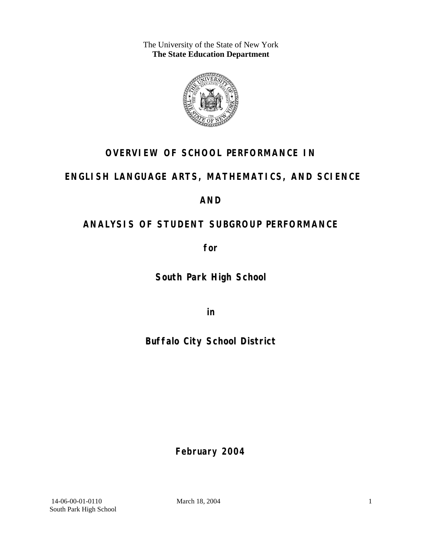The University of the State of New York **The State Education Department** 



# **OVERVIEW OF SCHOOL PERFORMANCE IN**

# **ENGLISH LANGUAGE ARTS, MATHEMATICS, AND SCIENCE**

# **AND**

# **ANALYSIS OF STUDENT SUBGROUP PERFORMANCE**

**for** 

**South Park High School**

**in** 

**Buffalo City School District**

**February 2004**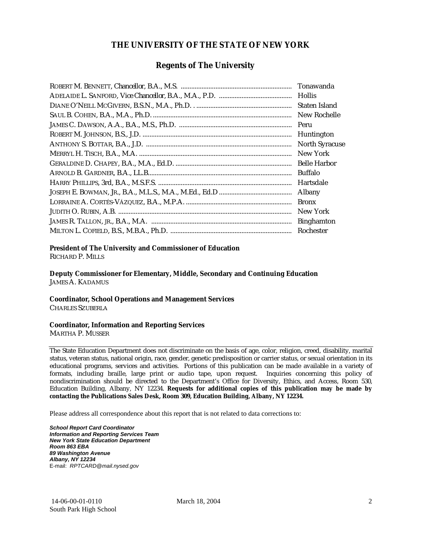### **THE UNIVERSITY OF THE STATE OF NEW YORK**

### **Regents of The University**

| Tonawanda             |
|-----------------------|
| <b>Hollis</b>         |
| Staten Island         |
| New Rochelle          |
| Peru                  |
| Huntington            |
| <b>North Syracuse</b> |
| New York              |
| <b>Belle Harbor</b>   |
| Buffalo               |
| Hartsdale             |
| Albany                |
| <b>Bronx</b>          |
| New York              |
| <b>Binghamton</b>     |
| Rochester             |

#### **President of The University and Commissioner of Education**

RICHARD P. MILLS

**Deputy Commissioner for Elementary, Middle, Secondary and Continuing Education**  JAMES A. KADAMUS

#### **Coordinator, School Operations and Management Services**

CHARLES SZUBERLA

#### **Coordinator, Information and Reporting Services**

MARTHA P. MUSSER

The State Education Department does not discriminate on the basis of age, color, religion, creed, disability, marital status, veteran status, national origin, race, gender, genetic predisposition or carrier status, or sexual orientation in its educational programs, services and activities. Portions of this publication can be made available in a variety of formats, including braille, large print or audio tape, upon request. Inquiries concerning this policy of nondiscrimination should be directed to the Department's Office for Diversity, Ethics, and Access, Room 530, Education Building, Albany, NY 12234. **Requests for additional copies of this publication may be made by contacting the Publications Sales Desk, Room 309, Education Building, Albany, NY 12234.** 

Please address all correspondence about this report that is not related to data corrections to:

*School Report Card Coordinator Information and Reporting Services Team New York State Education Department Room 863 EBA 89 Washington Avenue Albany, NY 12234*  E-mail: *RPTCARD@mail.nysed.gov*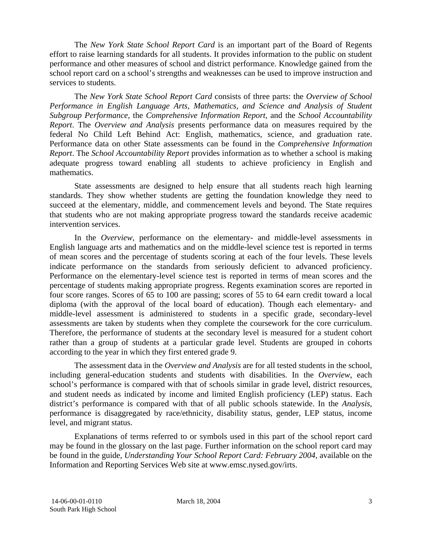The *New York State School Report Card* is an important part of the Board of Regents effort to raise learning standards for all students. It provides information to the public on student performance and other measures of school and district performance. Knowledge gained from the school report card on a school's strengths and weaknesses can be used to improve instruction and services to students.

The *New York State School Report Card* consists of three parts: the *Overview of School Performance in English Language Arts, Mathematics, and Science and Analysis of Student Subgroup Performance,* the *Comprehensive Information Report,* and the *School Accountability Report*. The *Overview and Analysis* presents performance data on measures required by the federal No Child Left Behind Act: English, mathematics, science, and graduation rate. Performance data on other State assessments can be found in the *Comprehensive Information Report*. The *School Accountability Report* provides information as to whether a school is making adequate progress toward enabling all students to achieve proficiency in English and mathematics.

State assessments are designed to help ensure that all students reach high learning standards. They show whether students are getting the foundation knowledge they need to succeed at the elementary, middle, and commencement levels and beyond. The State requires that students who are not making appropriate progress toward the standards receive academic intervention services.

In the *Overview*, performance on the elementary- and middle-level assessments in English language arts and mathematics and on the middle-level science test is reported in terms of mean scores and the percentage of students scoring at each of the four levels. These levels indicate performance on the standards from seriously deficient to advanced proficiency. Performance on the elementary-level science test is reported in terms of mean scores and the percentage of students making appropriate progress. Regents examination scores are reported in four score ranges. Scores of 65 to 100 are passing; scores of 55 to 64 earn credit toward a local diploma (with the approval of the local board of education). Though each elementary- and middle-level assessment is administered to students in a specific grade, secondary-level assessments are taken by students when they complete the coursework for the core curriculum. Therefore, the performance of students at the secondary level is measured for a student cohort rather than a group of students at a particular grade level. Students are grouped in cohorts according to the year in which they first entered grade 9.

The assessment data in the *Overview and Analysis* are for all tested students in the school, including general-education students and students with disabilities. In the *Overview*, each school's performance is compared with that of schools similar in grade level, district resources, and student needs as indicated by income and limited English proficiency (LEP) status. Each district's performance is compared with that of all public schools statewide. In the *Analysis*, performance is disaggregated by race/ethnicity, disability status, gender, LEP status, income level, and migrant status.

Explanations of terms referred to or symbols used in this part of the school report card may be found in the glossary on the last page. Further information on the school report card may be found in the guide, *Understanding Your School Report Card: February 2004*, available on the Information and Reporting Services Web site at www.emsc.nysed.gov/irts.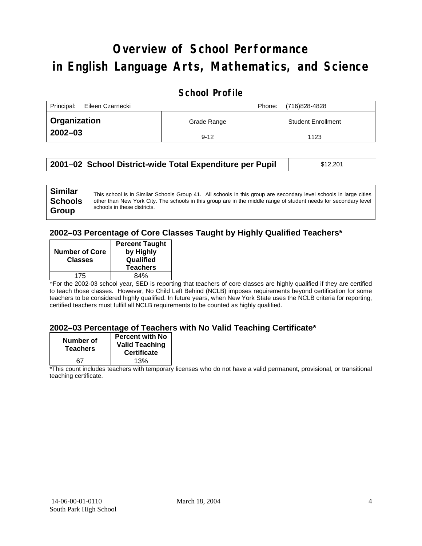# **Overview of School Performance in English Language Arts, Mathematics, and Science**

### **School Profile**

| Principal:<br>Eileen Czarnecki |             | (716)828-4828<br>Phone:   |
|--------------------------------|-------------|---------------------------|
| <b>Organization</b>            | Grade Range | <b>Student Enrollment</b> |
| $2002 - 03$                    | $9 - 12$    | 1123                      |

| 2001–02 School District-wide Total Expenditure per Pupil | \$12,201 |
|----------------------------------------------------------|----------|
|----------------------------------------------------------|----------|

### **2002–03 Percentage of Core Classes Taught by Highly Qualified Teachers\***

| <b>Number of Core</b><br><b>Classes</b> | <b>Percent Taught</b><br>by Highly<br>Qualified<br><b>Teachers</b> |
|-----------------------------------------|--------------------------------------------------------------------|
| 175                                     | 84%                                                                |
|                                         |                                                                    |

\*For the 2002-03 school year, SED is reporting that teachers of core classes are highly qualified if they are certified to teach those classes. However, No Child Left Behind (NCLB) imposes requirements beyond certification for some teachers to be considered highly qualified. In future years, when New York State uses the NCLB criteria for reporting, certified teachers must fulfill all NCLB requirements to be counted as highly qualified.

#### **2002–03 Percentage of Teachers with No Valid Teaching Certificate\***

| Number of<br><b>Teachers</b> | <b>Percent with No</b><br><b>Valid Teaching</b><br><b>Certificate</b> |
|------------------------------|-----------------------------------------------------------------------|
| 57                           | 13%                                                                   |

\*This count includes teachers with temporary licenses who do not have a valid permanent, provisional, or transitional teaching certificate.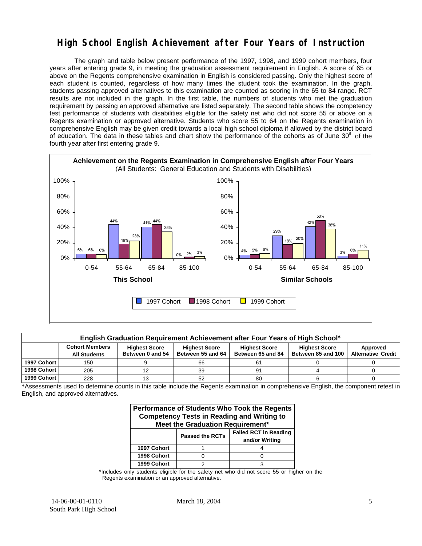### **High School English Achievement after Four Years of Instruction**

The graph and table below present performance of the 1997, 1998, and 1999 cohort members, four years after entering grade 9, in meeting the graduation assessment requirement in English. A score of 65 or above on the Regents comprehensive examination in English is considered passing. Only the highest score of each student is counted, regardless of how many times the student took the examination. In the graph, students passing approved alternatives to this examination are counted as scoring in the 65 to 84 range. RCT results are not included in the graph. In the first table, the numbers of students who met the graduation requirement by passing an approved alternative are listed separately. The second table shows the competency test performance of students with disabilities eligible for the safety net who did not score 55 or above on a Regents examination or approved alternative. Students who score 55 to 64 on the Regents examination in comprehensive English may be given credit towards a local high school diploma if allowed by the district board of education. The data in these tables and chart show the performance of the cohorts as of June 30<sup>th</sup> of the fourth year after first entering grade 9.



| English Graduation Requirement Achievement after Four Years of High School* |                                                                                                                                                                                                                                                                           |    |    |    |  |  |  |  |  |
|-----------------------------------------------------------------------------|---------------------------------------------------------------------------------------------------------------------------------------------------------------------------------------------------------------------------------------------------------------------------|----|----|----|--|--|--|--|--|
|                                                                             | <b>Cohort Members</b><br><b>Highest Score</b><br><b>Highest Score</b><br><b>Highest Score</b><br><b>Highest Score</b><br>Approved<br>Between 55 and 64<br>Between 85 and 100<br><b>Alternative Credit</b><br>Between 65 and 84<br>Between 0 and 54<br><b>All Students</b> |    |    |    |  |  |  |  |  |
| 1997 Cohort                                                                 | 150                                                                                                                                                                                                                                                                       |    | 66 |    |  |  |  |  |  |
| 1998 Cohort                                                                 | 205                                                                                                                                                                                                                                                                       |    | 39 |    |  |  |  |  |  |
| 1999 Cohort                                                                 | 228                                                                                                                                                                                                                                                                       | 13 |    | 80 |  |  |  |  |  |

\*Assessments used to determine counts in this table include the Regents examination in comprehensive English, the component retest in English, and approved alternatives.

| Performance of Students Who Took the Regents<br><b>Competency Tests in Reading and Writing to</b><br>Meet the Graduation Requirement* |                        |                                                |  |  |  |  |  |
|---------------------------------------------------------------------------------------------------------------------------------------|------------------------|------------------------------------------------|--|--|--|--|--|
|                                                                                                                                       | <b>Passed the RCTs</b> | <b>Failed RCT in Reading</b><br>and/or Writing |  |  |  |  |  |
| 1997 Cohort                                                                                                                           |                        |                                                |  |  |  |  |  |
| 1998 Cohort                                                                                                                           |                        |                                                |  |  |  |  |  |
| 1999 Cohort                                                                                                                           |                        |                                                |  |  |  |  |  |

\*Includes only students eligible for the safety net who did not score 55 or higher on the Regents examination or an approved alternative.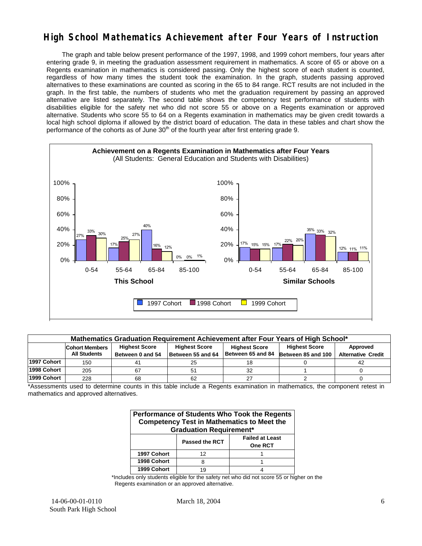## **High School Mathematics Achievement after Four Years of Instruction**

The graph and table below present performance of the 1997, 1998, and 1999 cohort members, four years after entering grade 9, in meeting the graduation assessment requirement in mathematics. A score of 65 or above on a Regents examination in mathematics is considered passing. Only the highest score of each student is counted, regardless of how many times the student took the examination. In the graph, students passing approved alternatives to these examinations are counted as scoring in the 65 to 84 range. RCT results are not included in the graph. In the first table, the numbers of students who met the graduation requirement by passing an approved alternative are listed separately. The second table shows the competency test performance of students with disabilities eligible for the safety net who did not score 55 or above on a Regents examination or approved alternative. Students who score 55 to 64 on a Regents examination in mathematics may be given credit towards a local high school diploma if allowed by the district board of education. The data in these tables and chart show the performance of the cohorts as of June  $30<sup>th</sup>$  of the fourth year after first entering grade 9.



| Mathematics Graduation Requirement Achievement after Four Years of High School* |                                                                                                                                   |                  |                   |                   |                    |                           |  |  |  |
|---------------------------------------------------------------------------------|-----------------------------------------------------------------------------------------------------------------------------------|------------------|-------------------|-------------------|--------------------|---------------------------|--|--|--|
|                                                                                 | <b>Highest Score</b><br><b>Highest Score</b><br><b>Highest Score</b><br>Approved<br><b>Cohort Members</b><br><b>Highest Score</b> |                  |                   |                   |                    |                           |  |  |  |
|                                                                                 | <b>All Students</b>                                                                                                               | Between 0 and 54 | Between 55 and 64 | Between 65 and 84 | Between 85 and 100 | <b>Alternative Credit</b> |  |  |  |
| 1997 Cohort                                                                     | 150                                                                                                                               | 41               | 25                | 18                |                    | 42                        |  |  |  |
| 1998 Cohort                                                                     | 205                                                                                                                               | 67               | 51                | 32                |                    |                           |  |  |  |
| 1999 Cohort                                                                     | 228                                                                                                                               | 68               | 62                | っっ                |                    |                           |  |  |  |

\*Assessments used to determine counts in this table include a Regents examination in mathematics, the component retest in mathematics and approved alternatives.

| Performance of Students Who Took the Regents<br><b>Competency Test in Mathematics to Meet the</b><br><b>Graduation Requirement*</b> |                                   |  |  |  |  |  |
|-------------------------------------------------------------------------------------------------------------------------------------|-----------------------------------|--|--|--|--|--|
|                                                                                                                                     | <b>Failed at Least</b><br>One RCT |  |  |  |  |  |
| 1997 Cohort                                                                                                                         | 12                                |  |  |  |  |  |
| 1998 Cohort                                                                                                                         |                                   |  |  |  |  |  |
| 1999 Cohort                                                                                                                         |                                   |  |  |  |  |  |

\*Includes only students eligible for the safety net who did not score 55 or higher on the Regents examination or an approved alternative.

 14-06-00-01-0110 March 18, 2004 South Park High School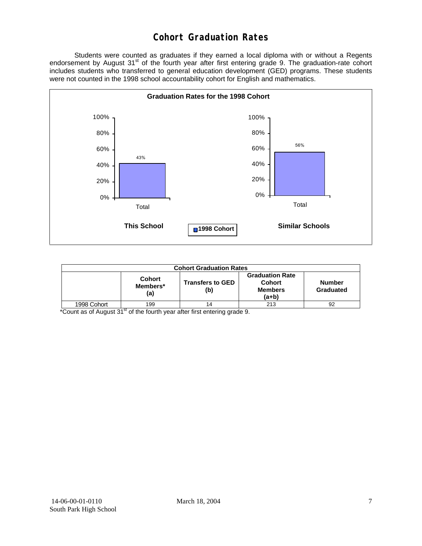# **Cohort Graduation Rates**

 Students were counted as graduates if they earned a local diploma with or without a Regents endorsement by August 31<sup>st</sup> of the fourth year after first entering grade 9. The graduation-rate cohort includes students who transferred to general education development (GED) programs. These students were not counted in the 1998 school accountability cohort for English and mathematics.



| <b>Cohort Graduation Rates</b> |                            |    |     |    |  |  |
|--------------------------------|----------------------------|----|-----|----|--|--|
|                                | <b>Number</b><br>Graduated |    |     |    |  |  |
| 1998 Cohort                    | 199                        | 14 | 213 | 92 |  |  |

\*Count as of August 31<sup>st</sup> of the fourth year after first entering grade 9.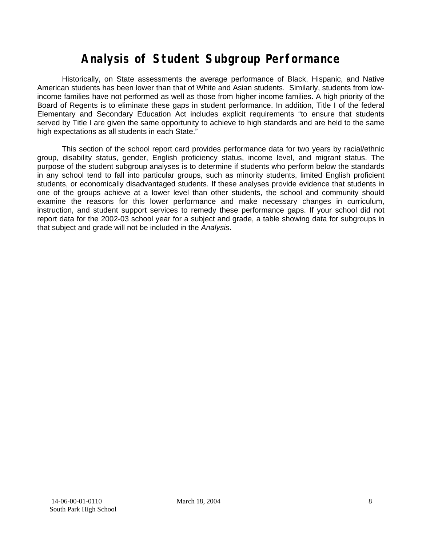# **Analysis of Student Subgroup Performance**

Historically, on State assessments the average performance of Black, Hispanic, and Native American students has been lower than that of White and Asian students. Similarly, students from lowincome families have not performed as well as those from higher income families. A high priority of the Board of Regents is to eliminate these gaps in student performance. In addition, Title I of the federal Elementary and Secondary Education Act includes explicit requirements "to ensure that students served by Title I are given the same opportunity to achieve to high standards and are held to the same high expectations as all students in each State."

This section of the school report card provides performance data for two years by racial/ethnic group, disability status, gender, English proficiency status, income level, and migrant status. The purpose of the student subgroup analyses is to determine if students who perform below the standards in any school tend to fall into particular groups, such as minority students, limited English proficient students, or economically disadvantaged students. If these analyses provide evidence that students in one of the groups achieve at a lower level than other students, the school and community should examine the reasons for this lower performance and make necessary changes in curriculum, instruction, and student support services to remedy these performance gaps. If your school did not report data for the 2002-03 school year for a subject and grade, a table showing data for subgroups in that subject and grade will not be included in the *Analysis*.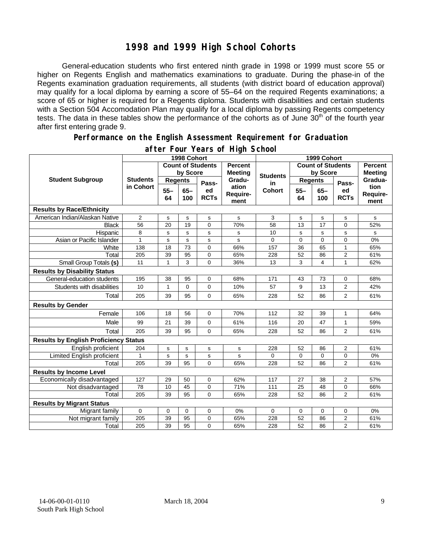### **1998 and 1999 High School Cohorts**

General-education students who first entered ninth grade in 1998 or 1999 must score 55 or higher on Regents English and mathematics examinations to graduate. During the phase-in of the Regents examination graduation requirements, all students (with district board of education approval) may qualify for a local diploma by earning a score of 55–64 on the required Regents examinations; a score of 65 or higher is required for a Regents diploma. Students with disabilities and certain students with a Section 504 Accomodation Plan may qualify for a local diploma by passing Regents competency tests. The data in these tables show the performance of the cohorts as of June 30<sup>th</sup> of the fourth year after first entering grade 9.

#### **Performance on the English Assessment Requirement for Graduation**

|                                              | 1998 Cohort     |                          |                 |                   |                           | 1999 Cohort              |                 |                |                           |                          |
|----------------------------------------------|-----------------|--------------------------|-----------------|-------------------|---------------------------|--------------------------|-----------------|----------------|---------------------------|--------------------------|
|                                              |                 | <b>Count of Students</b> |                 | <b>Percent</b>    |                           | <b>Count of Students</b> |                 | <b>Percent</b> |                           |                          |
|                                              |                 |                          | by Score        |                   | Meeting                   | <b>Students</b>          | by Score        |                | <b>Meeting</b><br>Gradua- |                          |
| <b>Student Subgroup</b>                      | <b>Students</b> | <b>Regents</b>           | Gradu-<br>Pass- |                   | in                        | <b>Regents</b>           |                 | Pass-          |                           |                          |
|                                              | in Cohort       | $55 -$<br>64             | $65-$<br>100    | ed<br><b>RCTs</b> | ation<br>Require-<br>ment | <b>Cohort</b>            | $55 -$<br>64    | $65 -$<br>100  | ed<br><b>RCTs</b>         | tion<br>Require-<br>ment |
| <b>Results by Race/Ethnicity</b>             |                 |                          |                 |                   |                           |                          |                 |                |                           |                          |
| American Indian/Alaskan Native               | $\overline{2}$  | s                        | s               | $\mathbf s$       | s                         | 3                        | s               | s              | s                         | s                        |
| <b>Black</b>                                 | 56              | 20                       | 19              | $\Omega$          | 70%                       | 58                       | 13              | 17             | $\overline{0}$            | 52%                      |
| Hispanic                                     | 8               | s                        | s               | s                 | s                         | 10                       | s               | s              | s                         | s                        |
| Asian or Pacific Islander                    | $\mathbf{1}$    | s                        | s               | s                 | s                         | $\Omega$                 | $\overline{0}$  | $\Omega$       | $\overline{0}$            | 0%                       |
| White                                        | 138             | 18                       | 73              | 0                 | 66%                       | 157                      | $\overline{36}$ | 65             | $\mathbf{1}$              | 65%                      |
| Total                                        | 205             | 39                       | 95              | $\mathbf 0$       | 65%                       | 228                      | 52              | 86             | $\overline{2}$            | 61%                      |
| Small Group Totals (s)                       | 11              | 1                        | 3               | $\Omega$          | 36%                       | 13                       | 3               | 4              | 1                         | 62%                      |
| <b>Results by Disability Status</b>          |                 |                          |                 |                   |                           |                          |                 |                |                           |                          |
| General-education students                   | 195             | 38                       | 95              | 0                 | 68%                       | 171                      | 43              | 73             | 0                         | 68%                      |
| Students with disabilities                   | 10              | $\mathbf{1}$             | $\mathbf 0$     | 0                 | 10%                       | 57                       | 9               | 13             | $\overline{2}$            | 42%                      |
| Total                                        | 205             | 39                       | 95              | $\mathbf 0$       | 65%                       | 228                      | 52              | 86             | 2                         | 61%                      |
| <b>Results by Gender</b>                     |                 |                          |                 |                   |                           |                          |                 |                |                           |                          |
| Female                                       | 106             | 18                       | 56              | $\Omega$          | 70%                       | 112                      | 32              | 39             | $\mathbf{1}$              | 64%                      |
| Male                                         | 99              | 21                       | 39              | 0                 | 61%                       | 116                      | 20              | 47             | 1                         | 59%                      |
| Total                                        | 205             | 39                       | 95              | $\mathbf 0$       | 65%                       | 228                      | 52              | 86             | $\overline{2}$            | 61%                      |
| <b>Results by English Proficiency Status</b> |                 |                          |                 |                   |                           |                          |                 |                |                           |                          |
| English proficient                           | 204             | s                        | $\mathbf s$     | $\mathbf s$       | s                         | 228                      | 52              | 86             | $\overline{2}$            | 61%                      |
| Limited English proficient                   | 1               | s                        | s               | s                 | s                         | $\mathbf 0$              | 0               | 0              | 0                         | 0%                       |
| Total                                        | 205             | 39                       | 95              | $\Omega$          | 65%                       | 228                      | 52              | 86             | $\overline{2}$            | 61%                      |
| <b>Results by Income Level</b>               |                 |                          |                 |                   |                           |                          |                 |                |                           |                          |
| Economically disadvantaged                   | 127             | 29                       | 50              | $\mathbf 0$       | 62%                       | 117                      | 27              | 38             | $\overline{2}$            | 57%                      |
| Not disadvantaged                            | 78              | 10                       | 45              | $\mathbf 0$       | 71%                       | 111                      | 25              | 48             | 0                         | 66%                      |
| Total                                        | 205             | 39                       | 95              | $\Omega$          | 65%                       | 228                      | 52              | 86             | $\overline{2}$            | 61%                      |
| <b>Results by Migrant Status</b>             |                 |                          |                 |                   |                           |                          |                 |                |                           |                          |
| Migrant family                               | $\mathbf 0$     | 0                        | $\mathbf 0$     | $\mathbf 0$       | 0%                        | 0                        | 0               | 0              | $\mathbf 0$               | 0%                       |
| Not migrant family                           | 205             | 39                       | 95              | $\mathbf 0$       | 65%                       | 228                      | 52              | 86             | $\overline{\mathbf{c}}$   | 61%                      |
| Total                                        | 205             | 39                       | 95              | $\Omega$          | 65%                       | 228                      | 52              | 86             | $\overline{2}$            | 61%                      |

### **after Four Years of High School**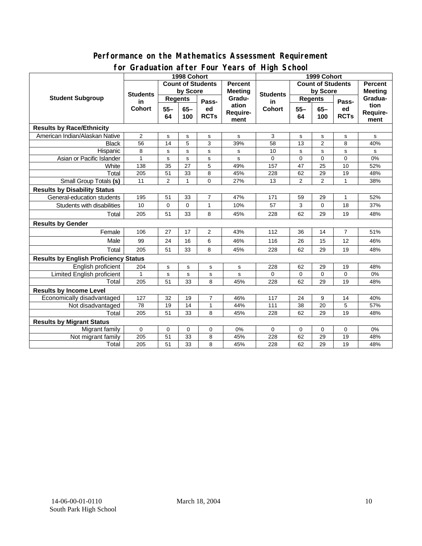### **Performance on the Mathematics Assessment Requirement for Graduation after Four Years of High School**

|                                              | <u><b>Siddaction artor roar roars or right conco</b></u><br>1998 Cohort |                                            |             |                |                                            | 1999 Cohort           |                |                |                |          |
|----------------------------------------------|-------------------------------------------------------------------------|--------------------------------------------|-------------|----------------|--------------------------------------------|-----------------------|----------------|----------------|----------------|----------|
| <b>Student Subgroup</b>                      |                                                                         | <b>Count of Students</b><br><b>Percent</b> |             |                | <b>Count of Students</b><br><b>Percent</b> |                       |                |                |                |          |
|                                              | <b>Students</b><br>in<br><b>Cohort</b>                                  | by Score                                   |             |                | <b>Meeting</b>                             |                       | by Score       |                | <b>Meeting</b> |          |
|                                              |                                                                         | <b>Regents</b>                             |             |                | Gradu-                                     | <b>Students</b><br>in | <b>Regents</b> |                |                | Gradua-  |
|                                              |                                                                         | $55 -$<br>$65-$                            |             | Pass-<br>ed    | ation                                      | <b>Cohort</b>         | $55 -$         | $65-$          | Pass-<br>ed    | tion     |
|                                              |                                                                         | 64                                         | 100         | <b>RCTs</b>    | Require-                                   |                       | 64             | 100            | <b>RCTs</b>    | Require- |
|                                              |                                                                         |                                            |             |                | ment                                       |                       |                |                |                | ment     |
| <b>Results by Race/Ethnicity</b>             |                                                                         |                                            |             |                |                                            |                       |                |                |                |          |
| American Indian/Alaskan Native               | $\overline{2}$                                                          | s                                          | s           | $\mathbf s$    | s                                          | 3                     | s              | $\mathbf s$    | s              | s        |
| <b>Black</b>                                 | 56                                                                      | 14                                         | 5           | 3              | 39%                                        | 58                    | 13             | $\overline{2}$ | 8              | 40%      |
| Hispanic                                     | 8                                                                       | s                                          | s           | s              | s                                          | 10                    | $\mathbf S$    | s              | s              | s        |
| Asian or Pacific Islander                    | $\mathbf{1}$                                                            | $\mathbf s$                                | s           | $\sf s$        | s                                          | 0                     | 0              | $\mathbf 0$    | 0              | $0\%$    |
| White                                        | 138                                                                     | 35                                         | 27          | 5              | 49%                                        | 157                   | 47             | 25             | 10             | 52%      |
| Total                                        | 205                                                                     | 51                                         | 33          | 8              | 45%                                        | 228                   | 62             | 29             | 19             | 48%      |
| <b>Small Group Totals (s)</b>                | $\overline{11}$                                                         | $\overline{2}$                             | 1           | $\Omega$       | 27%                                        | 13                    | $\overline{2}$ | $\overline{2}$ | 1              | 38%      |
| <b>Results by Disability Status</b>          |                                                                         |                                            |             |                |                                            |                       |                |                |                |          |
| General-education students                   | 195                                                                     | 51                                         | 33          | $\overline{7}$ | 47%                                        | 171                   | 59             | 29             | 1              | 52%      |
| Students with disabilities                   | 10                                                                      | $\mathbf 0$                                | $\mathbf 0$ | $\mathbf{1}$   | 10%                                        | 57                    | 3              | $\mathbf 0$    | 18             | 37%      |
| Total                                        | 205                                                                     | 51                                         | 33          | 8              | 45%                                        | 228                   | 62             | 29             | 19             | 48%      |
| <b>Results by Gender</b>                     |                                                                         |                                            |             |                |                                            |                       |                |                |                |          |
| Female                                       | 106                                                                     | 27                                         | 17          | $\overline{2}$ | 43%                                        | 112                   | 36             | 14             | $\overline{7}$ | 51%      |
| Male                                         | 99                                                                      | 24                                         | 16          | 6              | 46%                                        | 116                   | 26             | 15             | 12             | 46%      |
| Total                                        | 205                                                                     | 51                                         | 33          | 8              | 45%                                        | 228                   | 62             | 29             | 19             | 48%      |
| <b>Results by English Proficiency Status</b> |                                                                         |                                            |             |                |                                            |                       |                |                |                |          |
| English proficient                           | 204                                                                     | s                                          | s           | s              | s                                          | 228                   | 62             | 29             | 19             | 48%      |
| Limited English proficient                   | $\mathbf{1}$                                                            | s                                          | s           | s              | $\sf s$                                    | $\Omega$              | $\mathbf 0$    | $\mathbf 0$    | 0              | 0%       |
| Total                                        | 205                                                                     | 51                                         | 33          | 8              | 45%                                        | 228                   | 62             | 29             | 19             | 48%      |
| <b>Results by Income Level</b>               |                                                                         |                                            |             |                |                                            |                       |                |                |                |          |
| Economically disadvantaged                   | 127                                                                     | 32                                         | 19          | 7              | 46%                                        | 117                   | 24             | 9              | 14             | 40%      |
| Not disadvantaged                            | 78                                                                      | 19                                         | 14          | 1              | 44%                                        | 111                   | 38             | 20             | 5              | 57%      |
| Total                                        | 205                                                                     | 51                                         | 33          | 8              | 45%                                        | 228                   | 62             | 29             | 19             | 48%      |
| <b>Results by Migrant Status</b>             |                                                                         |                                            |             |                |                                            |                       |                |                |                |          |
| Migrant family                               | $\mathbf 0$                                                             | $\mathbf 0$                                | 0           | 0              | 0%                                         | 0                     | 0              | 0              | 0              | 0%       |
| Not migrant family                           | 205                                                                     | 51                                         | 33          | 8              | 45%                                        | 228                   | 62             | 29             | 19             | 48%      |
| Total                                        | 205                                                                     | 51                                         | 33          | 8              | 45%                                        | 228                   | 62             | 29             | 19             | 48%      |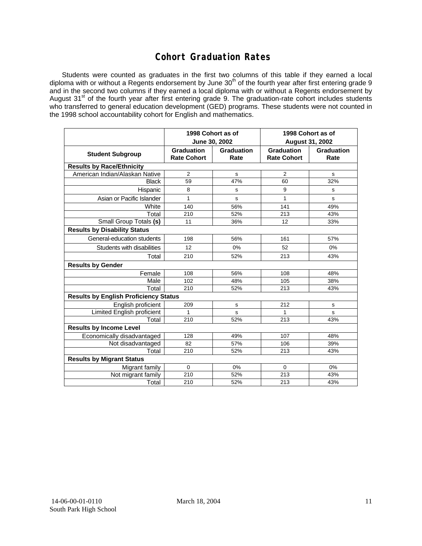### **Cohort Graduation Rates**

Students were counted as graduates in the first two columns of this table if they earned a local diploma with or without a Regents endorsement by June 30<sup>th</sup> of the fourth year after first entering grade 9 and in the second two columns if they earned a local diploma with or without a Regents endorsement by August 31<sup>st</sup> of the fourth year after first entering grade 9. The graduation-rate cohort includes students who transferred to general education development (GED) programs. These students were not counted in the 1998 school accountability cohort for English and mathematics.

|                                              | June 30, 2002                           | 1998 Cohort as of  | 1998 Cohort as of<br><b>August 31, 2002</b> |                    |  |  |  |  |  |  |
|----------------------------------------------|-----------------------------------------|--------------------|---------------------------------------------|--------------------|--|--|--|--|--|--|
| <b>Student Subgroup</b>                      | <b>Graduation</b><br><b>Rate Cohort</b> | Graduation<br>Rate | <b>Graduation</b><br><b>Rate Cohort</b>     | Graduation<br>Rate |  |  |  |  |  |  |
| <b>Results by Race/Ethnicity</b>             |                                         |                    |                                             |                    |  |  |  |  |  |  |
| American Indian/Alaskan Native               | $\overline{2}$                          | s                  | $\overline{2}$                              | s                  |  |  |  |  |  |  |
| <b>Black</b>                                 | 59                                      | 47%                | 60                                          | 32%                |  |  |  |  |  |  |
| Hispanic                                     | 8                                       | s                  | 9                                           | s                  |  |  |  |  |  |  |
| Asian or Pacific Islander                    | 1                                       | s                  | 1                                           | s                  |  |  |  |  |  |  |
| White                                        | 140                                     | 56%                | 141                                         | 49%                |  |  |  |  |  |  |
| Total                                        | 210                                     | 52%                | 213                                         | 43%                |  |  |  |  |  |  |
| Small Group Totals (s)                       | 11                                      | 36%                | 12                                          | 33%                |  |  |  |  |  |  |
| <b>Results by Disability Status</b>          |                                         |                    |                                             |                    |  |  |  |  |  |  |
| General-education students                   | 198                                     | 56%                | 161                                         | 57%                |  |  |  |  |  |  |
| Students with disabilities                   | 12                                      | 0%                 | 52                                          | 0%                 |  |  |  |  |  |  |
| Total                                        | 210                                     | 52%                | 213                                         | 43%                |  |  |  |  |  |  |
| <b>Results by Gender</b>                     |                                         |                    |                                             |                    |  |  |  |  |  |  |
| Female                                       | 108                                     | 56%                | 108                                         | 48%                |  |  |  |  |  |  |
| Male                                         | 102                                     | 48%                | 105                                         | 38%                |  |  |  |  |  |  |
| Total                                        | 210                                     | 52%                | 213                                         | 43%                |  |  |  |  |  |  |
| <b>Results by English Proficiency Status</b> |                                         |                    |                                             |                    |  |  |  |  |  |  |
| English proficient                           | 209                                     | s                  | 212                                         | s                  |  |  |  |  |  |  |
| <b>Limited English proficient</b>            | $\mathbf{1}$                            | s                  | 1                                           | s                  |  |  |  |  |  |  |
| Total                                        | 210                                     | 52%                | 213                                         | 43%                |  |  |  |  |  |  |
| <b>Results by Income Level</b>               |                                         |                    |                                             |                    |  |  |  |  |  |  |
| Economically disadvantaged                   | 128                                     | 49%                | 107                                         | 48%                |  |  |  |  |  |  |
| Not disadvantaged                            | 82                                      | 57%                | 106                                         | 39%                |  |  |  |  |  |  |
| Total                                        | 210                                     | 52%                | 213                                         | 43%                |  |  |  |  |  |  |
| <b>Results by Migrant Status</b>             |                                         |                    |                                             |                    |  |  |  |  |  |  |
| Migrant family                               | $\mathbf 0$                             | 0%                 | $\Omega$                                    | 0%                 |  |  |  |  |  |  |
| Not migrant family                           | 210                                     | 52%                | 213                                         | 43%                |  |  |  |  |  |  |
| Total                                        | 210                                     | 52%                | 213                                         | 43%                |  |  |  |  |  |  |